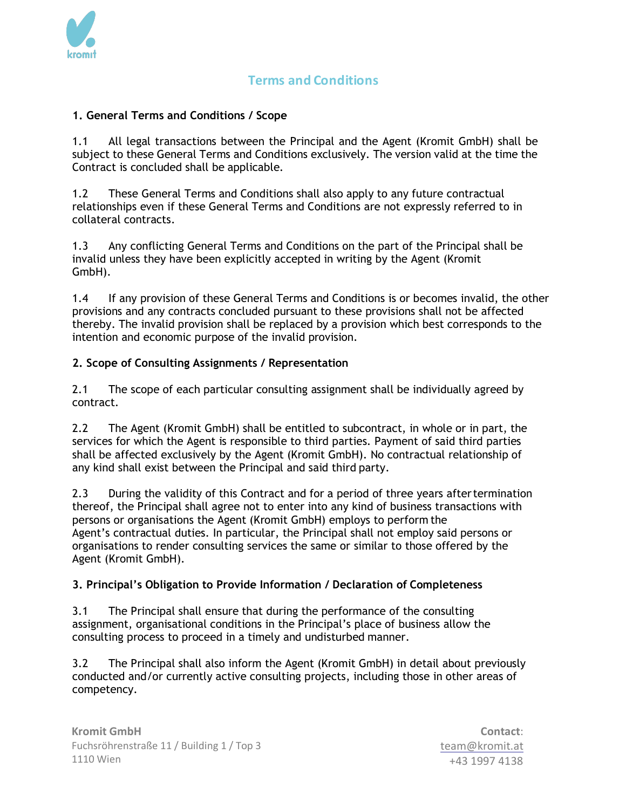

# **Terms and Conditions**

### **1. General Terms and Conditions / Scope**

1.1 All legal transactions between the Principal and the Agent (Kromit GmbH) shall be subject to these General Terms and Conditions exclusively. The version valid at the time the Contract is concluded shall be applicable.

1.2 These General Terms and Conditions shall also apply to any future contractual relationships even if these General Terms and Conditions are not expressly referred to in collateral contracts.

1.3 Any conflicting General Terms and Conditions on the part of the Principal shall be invalid unless they have been explicitly accepted in writing by the Agent (Kromit GmbH).

1.4 If any provision of these General Terms and Conditions is or becomes invalid, the other provisions and any contracts concluded pursuant to these provisions shall not be affected thereby. The invalid provision shall be replaced by a provision which best corresponds to the intention and economic purpose of the invalid provision.

### **2. Scope of Consulting Assignments / Representation**

2.1 The scope of each particular consulting assignment shall be individually agreed by contract.

2.2 The Agent (Kromit GmbH) shall be entitled to subcontract, in whole or in part, the services for which the Agent is responsible to third parties. Payment of said third parties shall be affected exclusively by the Agent (Kromit GmbH). No contractual relationship of any kind shall exist between the Principal and said third party.

2.3 During the validity of this Contract and for a period of three years aftertermination thereof, the Principal shall agree not to enter into any kind of business transactions with persons or organisations the Agent (Kromit GmbH) employs to perform the Agent's contractual duties. In particular, the Principal shall not employ said persons or organisations to render consulting services the same or similar to those offered by the Agent (Kromit GmbH).

### **3. Principal's Obligation to Provide Information / Declaration of Completeness**

3.1 The Principal shall ensure that during the performance of the consulting assignment, organisational conditions in the Principal's place of business allow the consulting process to proceed in a timely and undisturbed manner.

3.2 The Principal shall also inform the Agent (Kromit GmbH) in detail about previously conducted and/or currently active consulting projects, including those in other areas of competency.

**Contact**: team@kromit.at +43 1997 4138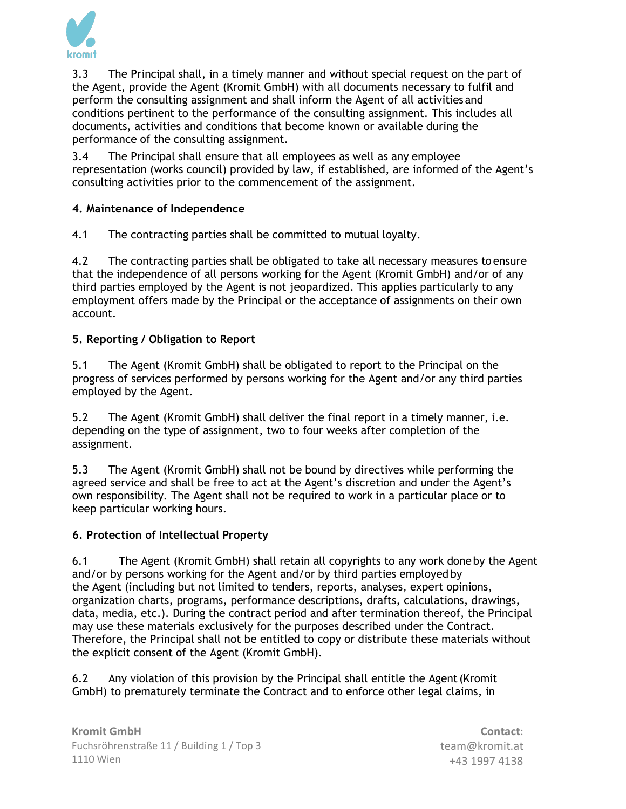

3.3 The Principal shall, in a timely manner and without special request on the part of the Agent, provide the Agent (Kromit GmbH) with all documents necessary to fulfil and perform the consulting assignment and shall inform the Agent of all activities and conditions pertinent to the performance of the consulting assignment. This includes all documents, activities and conditions that become known or available during the performance of the consulting assignment.

3.4 The Principal shall ensure that all employees as well as any employee representation (works council) provided by law, if established, are informed of the Agent's consulting activities prior to the commencement of the assignment.

## **4. Maintenance of Independence**

4.1 The contracting parties shall be committed to mutual loyalty.

4.2 The contracting parties shall be obligated to take all necessary measures to ensure that the independence of all persons working for the Agent (Kromit GmbH) and/or of any third parties employed by the Agent is not jeopardized. This applies particularly to any employment offers made by the Principal or the acceptance of assignments on their own account.

## **5. Reporting / Obligation to Report**

5.1 The Agent (Kromit GmbH) shall be obligated to report to the Principal on the progress of services performed by persons working for the Agent and/or any third parties employed by the Agent.

5.2 The Agent (Kromit GmbH) shall deliver the final report in a timely manner, i.e. depending on the type of assignment, two to four weeks after completion of the assignment.

5.3 The Agent (Kromit GmbH) shall not be bound by directives while performing the agreed service and shall be free to act at the Agent's discretion and under the Agent's own responsibility. The Agent shall not be required to work in a particular place or to keep particular working hours.

## **6. Protection of Intellectual Property**

6.1 The Agent (Kromit GmbH) shall retain all copyrights to any work doneby the Agent and/or by persons working for the Agent and/or by third parties employed by the Agent (including but not limited to tenders, reports, analyses, expert opinions, organization charts, programs, performance descriptions, drafts, calculations, drawings, data, media, etc.). During the contract period and after termination thereof, the Principal may use these materials exclusively for the purposes described under the Contract. Therefore, the Principal shall not be entitled to copy or distribute these materials without the explicit consent of the Agent (Kromit GmbH).

6.2 Any violation of this provision by the Principal shall entitle the Agent(Kromit GmbH) to prematurely terminate the Contract and to enforce other legal claims, in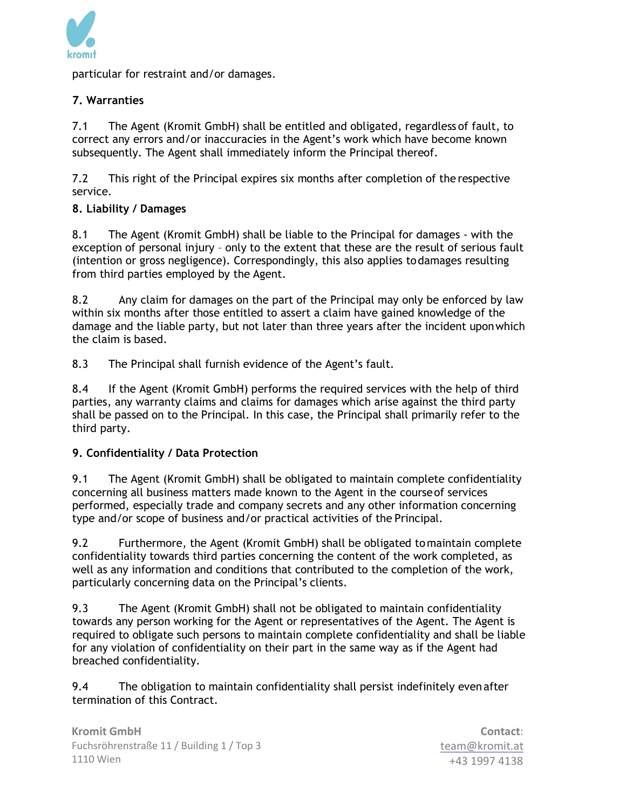

particular for restraint and/or damages.

## **7. Warranties**

7.1 The Agent (Kromit GmbH) shall be entitled and obligated, regardless of fault, to correct any errors and/or inaccuracies in the Agent's work which have become known subsequently. The Agent shall immediately inform the Principal thereof.

7.2 This right of the Principal expires six months after completion of the respective service.

## **8. Liability / Damages**

8.1 The Agent (Kromit GmbH) shall be liable to the Principal for damages - with the exception of personal injury – only to the extent that these are the result of serious fault (intention or gross negligence). Correspondingly, this also applies todamages resulting from third parties employed by the Agent.

8.2 Any claim for damages on the part of the Principal may only be enforced by law within six months after those entitled to assert a claim have gained knowledge of the damage and the liable party, but not later than three years after the incident uponwhich the claim is based.

8.3 The Principal shall furnish evidence of the Agent's fault.

8.4 If the Agent (Kromit GmbH) performs the required services with the help of third parties, any warranty claims and claims for damages which arise against the third party shall be passed on to the Principal. In this case, the Principal shall primarily refer to the third party.

### **9. Confidentiality / Data Protection**

9.1 The Agent (Kromit GmbH) shall be obligated to maintain complete confidentiality concerning all business matters made known to the Agent in the courseof services performed, especially trade and company secrets and any other information concerning type and/or scope of business and/or practical activities of the Principal.

9.2 Furthermore, the Agent (Kromit GmbH) shall be obligated tomaintain complete confidentiality towards third parties concerning the content of the work completed, as well as any information and conditions that contributed to the completion of the work, particularly concerning data on the Principal's clients.

9.3 The Agent (Kromit GmbH) shall not be obligated to maintain confidentiality towards any person working for the Agent or representatives of the Agent. The Agent is required to obligate such persons to maintain complete confidentiality and shall be liable for any violation of confidentiality on their part in the same way as if the Agent had breached confidentiality.

9.4 The obligation to maintain confidentiality shall persist indefinitely evenafter termination of this Contract.

**Contact**: team@kromit.at +43 1997 4138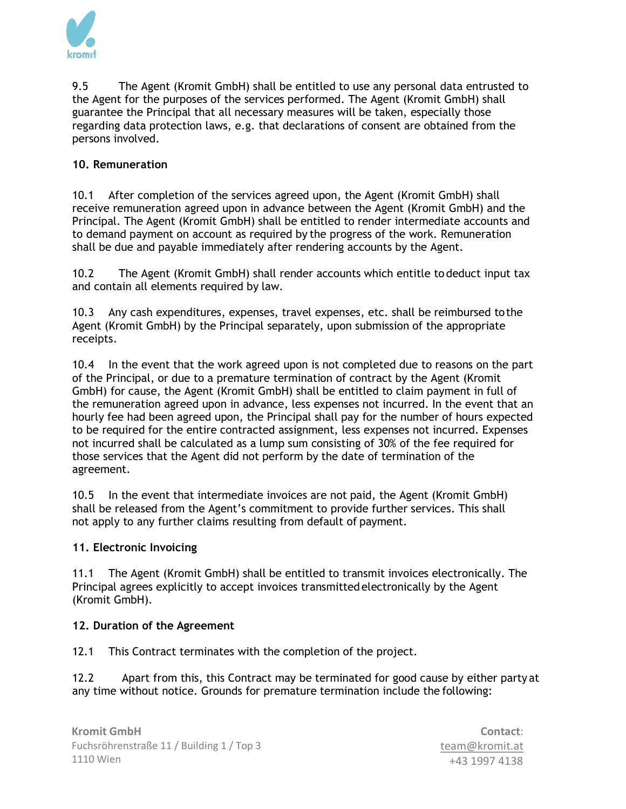

9.5 The Agent (Kromit GmbH) shall be entitled to use any personal data entrusted to the Agent for the purposes of the services performed. The Agent (Kromit GmbH) shall guarantee the Principal that all necessary measures will be taken, especially those regarding data protection laws, e.g. that declarations of consent are obtained from the persons involved.

## **10. Remuneration**

10.1 After completion of the services agreed upon, the Agent (Kromit GmbH) shall receive remuneration agreed upon in advance between the Agent (Kromit GmbH) and the Principal. The Agent (Kromit GmbH) shall be entitled to render intermediate accounts and to demand payment on account as required by the progress of the work. Remuneration shall be due and payable immediately after rendering accounts by the Agent.

10.2 The Agent (Kromit GmbH) shall render accounts which entitle todeduct input tax and contain all elements required by law.

10.3 Any cash expenditures, expenses, travel expenses, etc. shall be reimbursed tothe Agent (Kromit GmbH) by the Principal separately, upon submission of the appropriate receipts.

10.4 In the event that the work agreed upon is not completed due to reasons on the part of the Principal, or due to a premature termination of contract by the Agent (Kromit GmbH) for cause, the Agent (Kromit GmbH) shall be entitled to claim payment in full of the remuneration agreed upon in advance, less expenses not incurred. In the event that an hourly fee had been agreed upon, the Principal shall pay for the number of hours expected to be required for the entire contracted assignment, less expenses not incurred. Expenses not incurred shall be calculated as a lump sum consisting of 30% of the fee required for those services that the Agent did not perform by the date of termination of the agreement.

10.5 In the event that intermediate invoices are not paid, the Agent (Kromit GmbH) shall be released from the Agent's commitment to provide further services. This shall not apply to any further claims resulting from default of payment.

### **11. Electronic Invoicing**

11.1 The Agent (Kromit GmbH) shall be entitled to transmit invoices electronically. The Principal agrees explicitly to accept invoices transmittedelectronically by the Agent (Kromit GmbH).

### **12. Duration of the Agreement**

12.1 This Contract terminates with the completion of the project.

12.2 Apart from this, this Contract may be terminated for good cause by either party at any time without notice. Grounds for premature termination include the following: